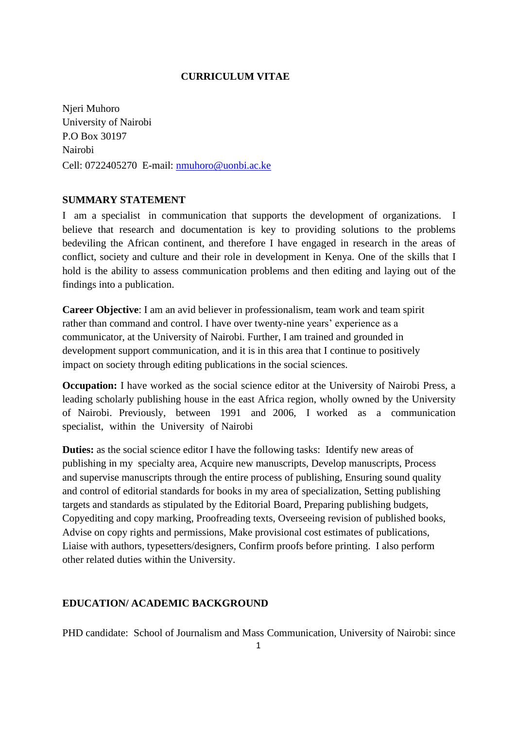### **CURRICULUM VITAE**

Njeri Muhoro University of Nairobi P.O Box 30197 Nairobi Cell: 0722405270 E-mail: [nmuhoro@uonbi.ac.ke](mailto:nmuhoro@uonbi.ac.ke)

## **SUMMARY STATEMENT**

I am a specialist in communication that supports the development of organizations. I believe that research and documentation is key to providing solutions to the problems bedeviling the African continent, and therefore I have engaged in research in the areas of conflict, society and culture and their role in development in Kenya. One of the skills that I hold is the ability to assess communication problems and then editing and laying out of the findings into a publication.

**Career Objective**: I am an avid believer in professionalism, team work and team spirit rather than command and control. I have over twenty-nine years' experience as a communicator, at the University of Nairobi. Further, I am trained and grounded in development support communication, and it is in this area that I continue to positively impact on society through editing publications in the social sciences.

**Occupation:** I have worked as the social science editor at the University of Nairobi Press, a leading scholarly publishing house in the east Africa region, wholly owned by the University of Nairobi. Previously, between 1991 and 2006, I worked as a communication specialist, within the University of Nairobi

**Duties:** as the social science editor I have the following tasks: Identify new areas of publishing in my specialty area, Acquire new manuscripts, Develop manuscripts, Process and supervise manuscripts through the entire process of publishing, Ensuring sound quality and control of editorial standards for books in my area of specialization, Setting publishing targets and standards as stipulated by the Editorial Board, Preparing publishing budgets, Copyediting and copy marking, Proofreading texts, Overseeing revision of published books, Advise on copy rights and permissions, Make provisional cost estimates of publications, Liaise with authors, typesetters/designers, Confirm proofs before printing. I also perform other related duties within the University.

# **EDUCATION/ ACADEMIC BACKGROUND**

PHD candidate: School of Journalism and Mass Communication, University of Nairobi: since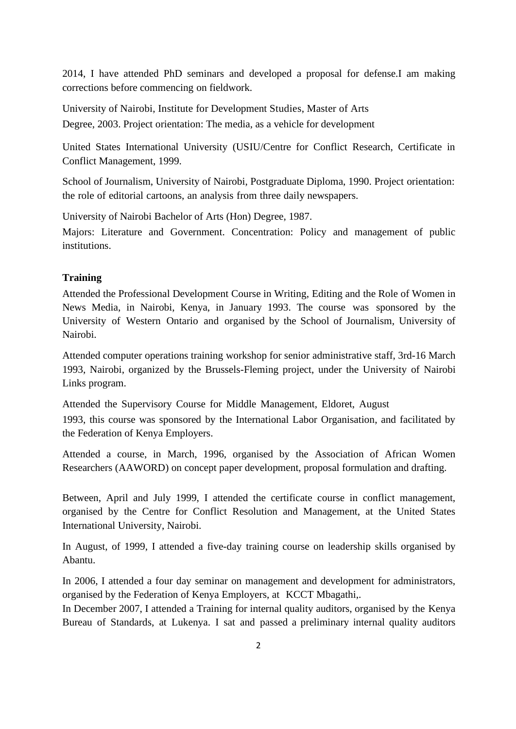2014, I have attended PhD seminars and developed a proposal for defense.I am making corrections before commencing on fieldwork.

University of Nairobi, Institute for Development Studies, Master of Arts Degree, 2003. Project orientation: The media, as a vehicle for development

United States International University (USIU/Centre for Conflict Research, Certificate in Conflict Management, 1999.

School of Journalism, University of Nairobi, Postgraduate Diploma, 1990. Project orientation: the role of editorial cartoons, an analysis from three daily newspapers.

University of Nairobi Bachelor of Arts (Hon) Degree, 1987.

Majors: Literature and Government. Concentration: Policy and management of public institutions.

#### **Training**

Attended the Professional Development Course in Writing, Editing and the Role of Women in News Media, in Nairobi, Kenya, in January 1993. The course was sponsored by the University of Western Ontario and organised by the School of Journalism, University of Nairobi.

Attended computer operations training workshop for senior administrative staff, 3rd-16 March 1993, Nairobi, organized by the Brussels-Fleming project, under the University of Nairobi Links program.

Attended the Supervisory Course for Middle Management, Eldoret, August 1993, this course was sponsored by the International Labor Organisation, and facilitated by the Federation of Kenya Employers.

Attended a course, in March, 1996, organised by the Association of African Women Researchers (AAWORD) on concept paper development, proposal formulation and drafting.

Between, April and July 1999, I attended the certificate course in conflict management, organised by the Centre for Conflict Resolution and Management, at the United States International University, Nairobi.

In August, of 1999, I attended a five-day training course on leadership skills organised by Abantu.

In 2006, I attended a four day seminar on management and development for administrators, organised by the Federation of Kenya Employers, at KCCT Mbagathi,.

In December 2007, I attended a Training for internal quality auditors, organised by the Kenya Bureau of Standards, at Lukenya. I sat and passed a preliminary internal quality auditors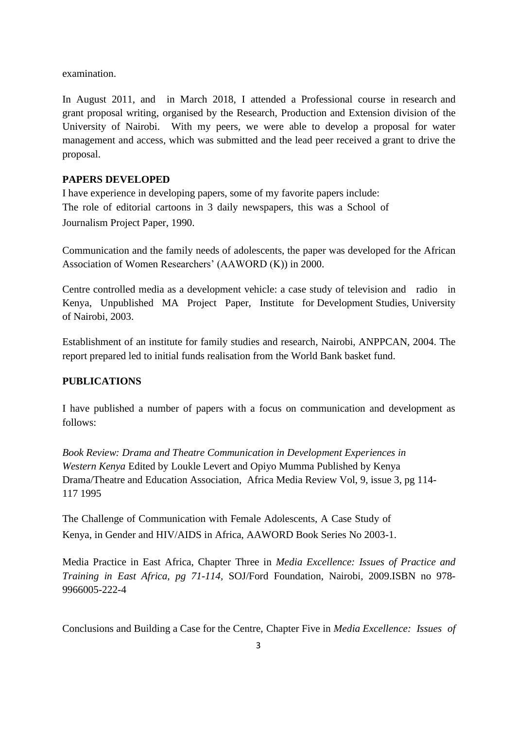examination.

In August 2011, and in March 2018, I attended a Professional course in research and grant proposal writing, organised by the Research, Production and Extension division of the University of Nairobi. With my peers, we were able to develop a proposal for water management and access, which was submitted and the lead peer received a grant to drive the proposal.

# **PAPERS DEVELOPED**

I have experience in developing papers, some of my favorite papers include: The role of editorial cartoons in 3 daily newspapers, this was a School of Journalism Project Paper, 1990.

Communication and the family needs of adolescents, the paper was developed for the African Association of Women Researchers' (AAWORD (K)) in 2000.

Centre controlled media as a development vehicle: a case study of television and radio in Kenya, Unpublished MA Project Paper, Institute for Development Studies, University of Nairobi, 2003.

Establishment of an institute for family studies and research, Nairobi, ANPPCAN, 2004. The report prepared led to initial funds realisation from the World Bank basket fund.

# **PUBLICATIONS**

I have published a number of papers with a focus on communication and development as follows:

*Book Review: Drama [and Theatre Communication](https://scholar.google.com/scholar?oi=bibs&cluster=10437450484830299923&btnI=1&hl=en) in Development [Experiences](https://scholar.google.com/scholar?oi=bibs&cluster=10437450484830299923&btnI=1&hl=en) in [Western Kenya](https://scholar.google.com/scholar?oi=bibs&cluster=10437450484830299923&btnI=1&hl=en)* Edited by Loukle Levert and Opiyo Mumma [Published by Kenya](https://scholar.google.com/scholar?oi=bibs&cluster=10437450484830299923&btnI=1&hl=en)  Drama/Theatre and [Education Association, Africa](https://scholar.google.com/scholar?oi=bibs&cluster=10437450484830299923&btnI=1&hl=en) Media Review Vol, 9, issue 3, pg 114- 117 1995

The Challenge of Communication with Female Adolescents, A Case Study of Kenya, in Gender and HIV/AIDS in Africa, AAWORD Book Series No 2003-1.

Media Practice in East Africa, Chapter Three in *Media Excellence: Issues of Practice and Training in East Africa, pg 71-114,* SOJ/Ford Foundation, Nairobi, 2009.ISBN no 978- 9966005-222-4

Conclusions and Building a Case for the Centre, Chapter Five in *Media Excellence: Issues of*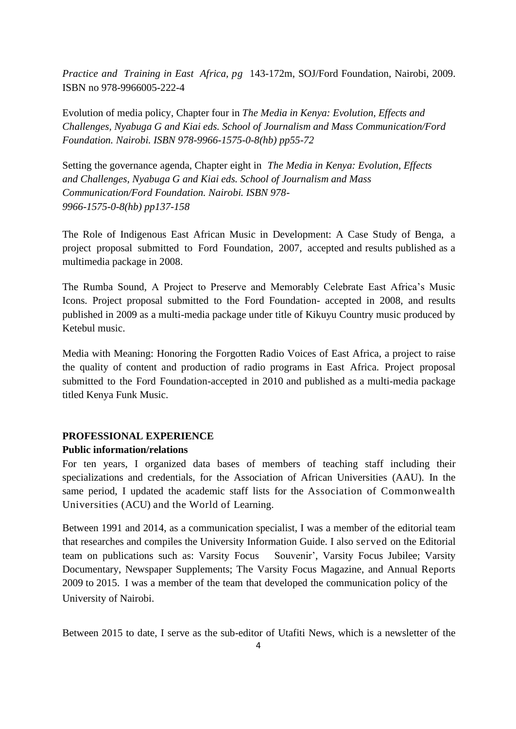*Practice and Training in East Africa, pg* 143-172m, SOJ/Ford Foundation, Nairobi, 2009. ISBN no 978-9966005-222-4

Evolution of media policy, Chapter four in *The Media in Kenya: Evolution, Effects and Challenges, Nyabuga G and Kiai eds. School of Journalism and Mass Communication/Ford Foundation. Nairobi. ISBN 978-9966-1575-0-8(hb) pp55-72*

Setting the governance agenda, Chapter eight in *The Media in Kenya: Evolution, Effects and Challenges, Nyabuga G and Kiai eds. School of Journalism and Mass Communication/Ford Foundation. Nairobi. ISBN 978- 9966-1575-0-8(hb) pp137-158*

The Role of Indigenous East African Music in Development: A Case Study of Benga, a project proposal submitted to Ford Foundation, 2007, accepted and results published as a multimedia package in 2008.

The Rumba Sound, A Project to Preserve and Memorably Celebrate East Africa's Music Icons. Project proposal submitted to the Ford Foundation- accepted in 2008, and results published in 2009 as a multi-media package under title of Kikuyu Country music produced by Ketebul music.

Media with Meaning: Honoring the Forgotten Radio Voices of East Africa, a project to raise the quality of content and production of radio programs in East Africa. Project proposal submitted to the Ford Foundation-accepted in 2010 and published as a multi-media package titled Kenya Funk Music.

#### **PROFESSIONAL EXPERIENCE**

#### **Public information/relations**

For ten years, I organized data bases of members of teaching staff including their specializations and credentials, for the Association of African Universities (AAU). In the same period, I updated the academic staff lists for the Association of Commonwealth Universities (ACU) and the World of Learning.

Between 1991 and 2014, as a communication specialist, I was a member of the editorial team that researches and compiles the University Information Guide. I also served on the Editorial team on publications such as: Varsity Focus Souvenir', Varsity Focus Jubilee; Varsity Documentary, Newspaper Supplements; The Varsity Focus Magazine, and Annual Reports 2009 to 2015. I was a member of the team that developed the communication policy of the University of Nairobi.

Between 2015 to date, I serve as the sub-editor of Utafiti News, which is a newsletter of the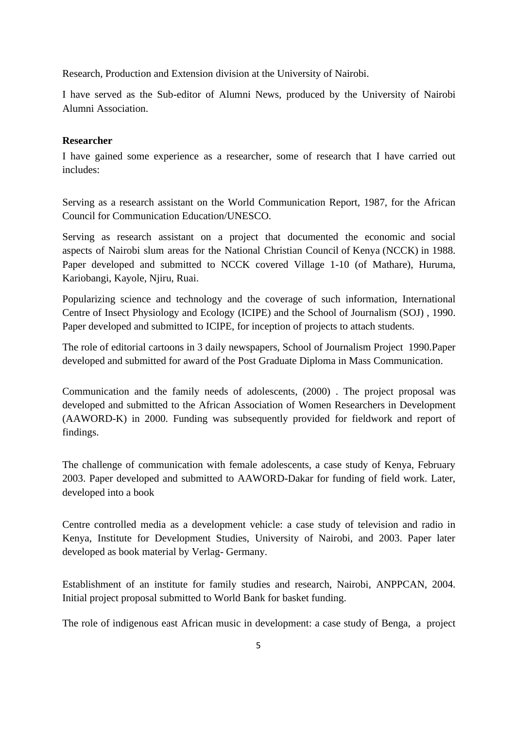Research, Production and Extension division at the University of Nairobi.

I have served as the Sub-editor of Alumni News, produced by the University of Nairobi Alumni Association.

#### **Researcher**

I have gained some experience as a researcher, some of research that I have carried out includes:

Serving as a research assistant on the World Communication Report, 1987, for the African Council for Communication Education/UNESCO.

Serving as research assistant on a project that documented the economic and social aspects of Nairobi slum areas for the National Christian Council of Kenya (NCCK) in 1988. Paper developed and submitted to NCCK covered Village 1-10 (of Mathare), Huruma, Kariobangi, Kayole, Njiru, Ruai.

Popularizing science and technology and the coverage of such information, International Centre of Insect Physiology and Ecology (ICIPE) and the School of Journalism (SOJ) , 1990. Paper developed and submitted to ICIPE, for inception of projects to attach students.

The role of editorial cartoons in 3 daily newspapers, School of Journalism Project 1990.Paper developed and submitted for award of the Post Graduate Diploma in Mass Communication.

Communication and the family needs of adolescents, (2000) . The project proposal was developed and submitted to the African Association of Women Researchers in Development (AAWORD-K) in 2000. Funding was subsequently provided for fieldwork and report of findings.

The challenge of communication with female adolescents, a case study of Kenya, February 2003. Paper developed and submitted to AAWORD-Dakar for funding of field work. Later, developed into a book

Centre controlled media as a development vehicle: a case study of television and radio in Kenya, Institute for Development Studies, University of Nairobi, and 2003. Paper later developed as book material by Verlag- Germany.

Establishment of an institute for family studies and research, Nairobi, ANPPCAN, 2004. Initial project proposal submitted to World Bank for basket funding.

The role of indigenous east African music in development: a case study of Benga, a project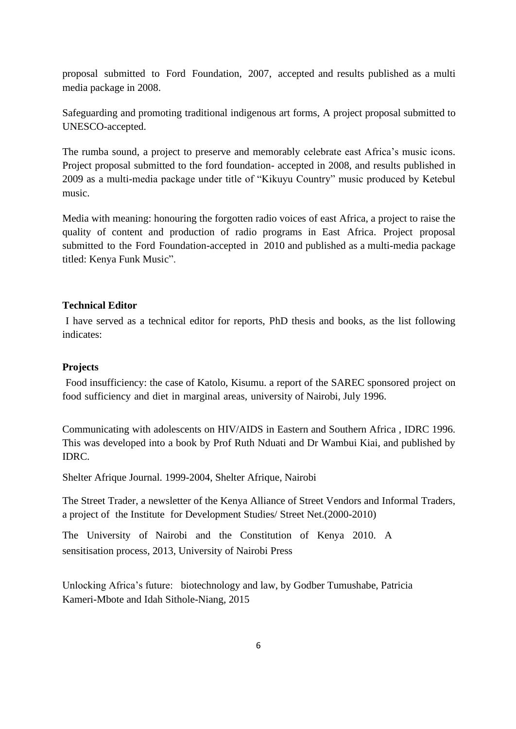proposal submitted to Ford Foundation, 2007, accepted and results published as a multi media package in 2008.

Safeguarding and promoting traditional indigenous art forms, A project proposal submitted to UNESCO-accepted.

The rumba sound, a project to preserve and memorably celebrate east Africa's music icons. Project proposal submitted to the ford foundation- accepted in 2008, and results published in 2009 as a multi-media package under title of "Kikuyu Country" music produced by Ketebul music.

Media with meaning: honouring the forgotten radio voices of east Africa, a project to raise the quality of content and production of radio programs in East Africa. Project proposal submitted to the Ford Foundation-accepted in 2010 and published as a multi-media package titled: Kenya Funk Music".

#### **Technical Editor**

I have served as a technical editor for reports, PhD thesis and books, as the list following indicates:

#### **Projects**

Food insufficiency: the case of Katolo, Kisumu. a report of the SAREC sponsored project on food sufficiency and diet in marginal areas, university of Nairobi, July 1996.

Communicating with adolescents on HIV/AIDS in Eastern and Southern Africa , IDRC 1996. This was developed into a book by Prof Ruth Nduati and Dr Wambui Kiai, and published by IDRC.

Shelter Afrique Journal. 1999-2004, Shelter Afrique, Nairobi

The Street Trader, a newsletter of the Kenya Alliance of Street Vendors and Informal Traders, a project of the Institute for Development Studies/ Street Net.(2000-2010)

The University of Nairobi and the Constitution of Kenya 2010. A sensitisation process, 2013, University of Nairobi Press

Unlocking Africa's future: biotechnology and law, by Godber Tumushabe, Patricia Kameri-Mbote and Idah Sithole-Niang, 2015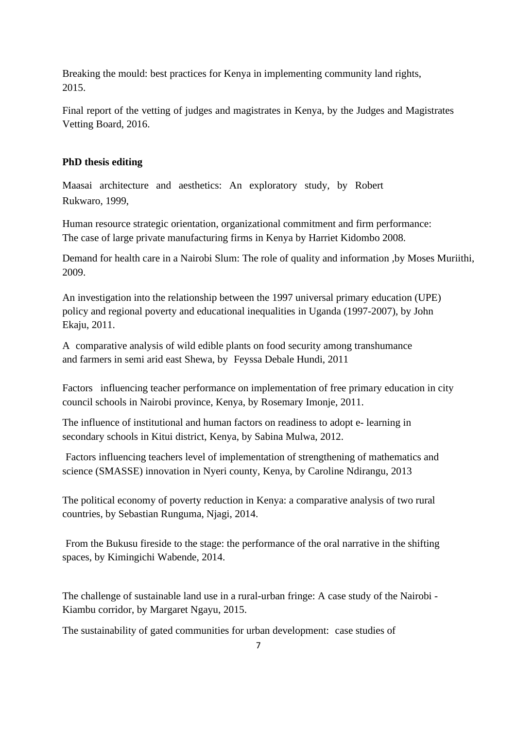Breaking the mould: best practices for Kenya in implementing community land rights, 2015.

Final report of the vetting of judges and magistrates in Kenya, by the Judges and Magistrates Vetting Board, 2016.

#### **PhD thesis editing**

Maasai architecture and aesthetics: An exploratory study, by Robert Rukwaro, 1999,

Human resource strategic orientation, organizational commitment and firm performance: The case of large private manufacturing firms in Kenya by Harriet Kidombo 2008.

Demand for health care in a Nairobi Slum: The role of quality and information ,by Moses Muriithi, 2009.

An investigation into the relationship between the 1997 universal primary education (UPE) policy and regional poverty and educational inequalities in Uganda (1997-2007), by John Ekaju, 2011.

A comparative analysis of wild edible plants on food security among transhumance and farmers in semi arid east Shewa, by Feyssa Debale Hundi, 2011

Factors influencing teacher performance on implementation of free primary education in city council schools in Nairobi province, Kenya, by Rosemary Imonje, 2011.

[The influence of institutional and human factors on readiness to](https://profiles.uonbi.ac.ke/asabina/publications/influence-institutional-and-human-factors-readiness-adopt-e-learing-secondary-s) adopt e- [learning in](https://profiles.uonbi.ac.ke/asabina/publications/influence-institutional-and-human-factors-readiness-adopt-e-learing-secondary-s)  [secondary schools in](https://profiles.uonbi.ac.ke/asabina/publications/influence-institutional-and-human-factors-readiness-adopt-e-learing-secondary-s) Kitui district, Kenya, by Sabina Mulwa, 2012.

Factors influencing teachers level of implementation of strengthening of mathematics and science (SMASSE) innovation in Nyeri county, Kenya, by Caroline Ndirangu, 2013

The political economy of poverty reduction in Kenya: a comparative analysis of two rural countries, by Sebastian Runguma, Njagi, 2014.

From the Bukusu fireside to the stage: the performance of the oral narrative in the shifting spaces, by Kimingichi Wabende, 2014.

The challenge of sustainable land use in a rural-urban fringe: A case study of the Nairobi - Kiambu corridor, by Margaret Ngayu, 2015.

The sustainability of gated communities for urban development: case studies of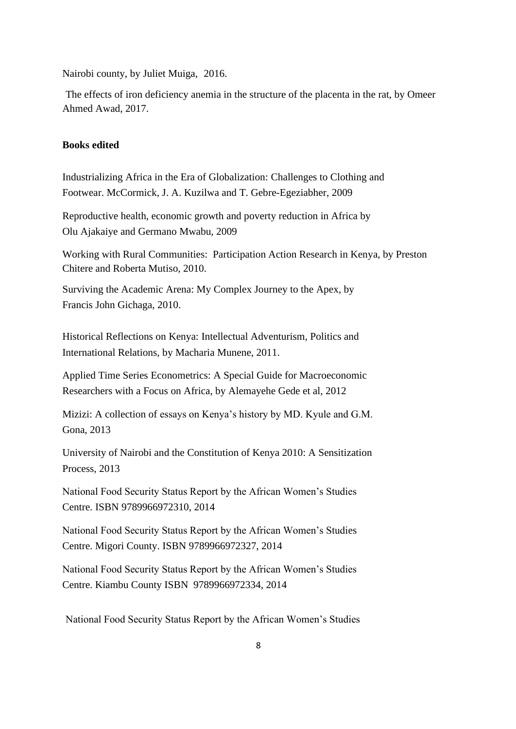Nairobi county, by Juliet Muiga, 2016.

The effects of iron deficiency anemia in the structure of the placenta in the rat, by Omeer Ahmed Awad, 2017.

#### **Books edited**

Industrializing Africa in the Era of Globalization: Challenges to Clothing and Footwear. McCormick, J. A. Kuzilwa and T. Gebre-Egeziabher, 2009

Reproductive health, economic growth and poverty reduction in Africa by Olu Ajakaiye and Germano Mwabu, 2009

Working with Rural Communities: Participation Action Research in Kenya, by Preston Chitere and Roberta Mutiso, 2010.

Surviving the Academic Arena: My Complex Journey to the Apex, by Francis John Gichaga, 2010.

Historical Reflections on Kenya: Intellectual Adventurism, Politics and International Relations, by Macharia Munene, 2011.

Applied Time Series Econometrics: A Special Guide for Macroeconomic Researchers with a Focus on Africa, by Alemayehe Gede et al, 2012

Mizizi: A collection of essays on Kenya's history by MD. Kyule and G.M. Gona, 2013

University of Nairobi and the Constitution of Kenya 2010: A Sensitization Process, 2013

National Food Security Status Report by the African Women's Studies Centre. ISBN 9789966972310, 2014

National Food Security Status Report by the African Women's Studies Centre. Migori County. ISBN 9789966972327, 2014

National Food Security Status Report by the African Women's Studies Centre. Kiambu County ISBN 9789966972334, 2014

National Food Security Status Report by the African Women's Studies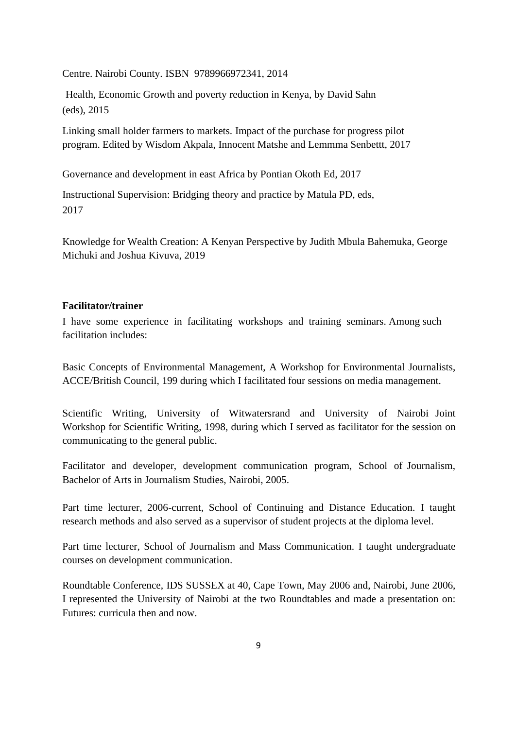Centre. Nairobi County. ISBN 9789966972341, 2014

Health, Economic Growth and poverty reduction in Kenya, by David Sahn (eds), 2015

Linking small holder farmers to markets. Impact of the purchase for progress pilot program. Edited by Wisdom Akpala, Innocent Matshe and Lemmma Senbettt, 2017

Governance and development in east Africa by Pontian Okoth Ed, 2017

Instructional Supervision: Bridging theory and practice by Matula PD, eds, 2017

Knowledge for Wealth Creation: A Kenyan Perspective by Judith Mbula Bahemuka, George Michuki and Joshua Kivuva, 2019

### **Facilitator/trainer**

I have some experience in facilitating workshops and training seminars. Among such facilitation includes:

Basic Concepts of Environmental Management, A Workshop for Environmental Journalists, ACCE/British Council, 199 during which I facilitated four sessions on media management.

Scientific Writing, University of Witwatersrand and University of Nairobi Joint Workshop for Scientific Writing, 1998, during which I served as facilitator for the session on communicating to the general public.

Facilitator and developer, development communication program, School of Journalism, Bachelor of Arts in Journalism Studies, Nairobi, 2005.

Part time lecturer, 2006-current, School of Continuing and Distance Education. I taught research methods and also served as a supervisor of student projects at the diploma level.

Part time lecturer, School of Journalism and Mass Communication. I taught undergraduate courses on development communication.

Roundtable Conference, IDS SUSSEX at 40, Cape Town, May 2006 and, Nairobi, June 2006, I represented the University of Nairobi at the two Roundtables and made a presentation on: Futures: curricula then and now.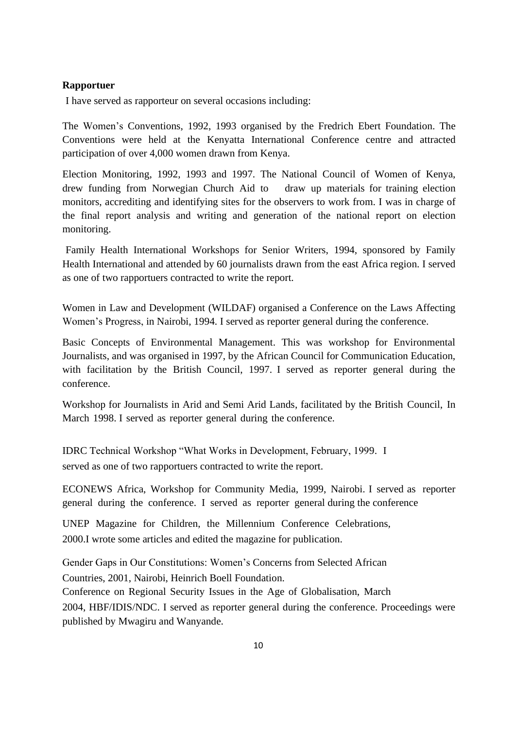## **Rapportuer**

I have served as rapporteur on several occasions including:

The Women's Conventions, 1992, 1993 organised by the Fredrich Ebert Foundation. The Conventions were held at the Kenyatta International Conference centre and attracted participation of over 4,000 women drawn from Kenya.

Election Monitoring, 1992, 1993 and 1997. The National Council of Women of Kenya, drew funding from Norwegian Church Aid to draw up materials for training election monitors, accrediting and identifying sites for the observers to work from. I was in charge of the final report analysis and writing and generation of the national report on election monitoring.

Family Health International Workshops for Senior Writers, 1994, sponsored by Family Health International and attended by 60 journalists drawn from the east Africa region. I served as one of two rapportuers contracted to write the report.

Women in Law and Development (WILDAF) organised a Conference on the Laws Affecting Women's Progress, in Nairobi, 1994. I served as reporter general during the conference.

Basic Concepts of Environmental Management. This was workshop for Environmental Journalists, and was organised in 1997, by the African Council for Communication Education, with facilitation by the British Council, 1997. I served as reporter general during the conference.

Workshop for Journalists in Arid and Semi Arid Lands, facilitated by the British Council, In March 1998. I served as reporter general during the conference.

IDRC Technical Workshop "What Works in Development, February, 1999. I served as one of two rapportuers contracted to write the report.

ECONEWS Africa, Workshop for Community Media, 1999, Nairobi. I served as reporter general during the conference. I served as reporter general during the conference

UNEP Magazine for Children, the Millennium Conference Celebrations, 2000.I wrote some articles and edited the magazine for publication.

Gender Gaps in Our Constitutions: Women's Concerns from Selected African

Countries, 2001, Nairobi, Heinrich Boell Foundation.

Conference on Regional Security Issues in the Age of Globalisation, March

2004, HBF/IDIS/NDC. I served as reporter general during the conference. Proceedings were published by Mwagiru and Wanyande.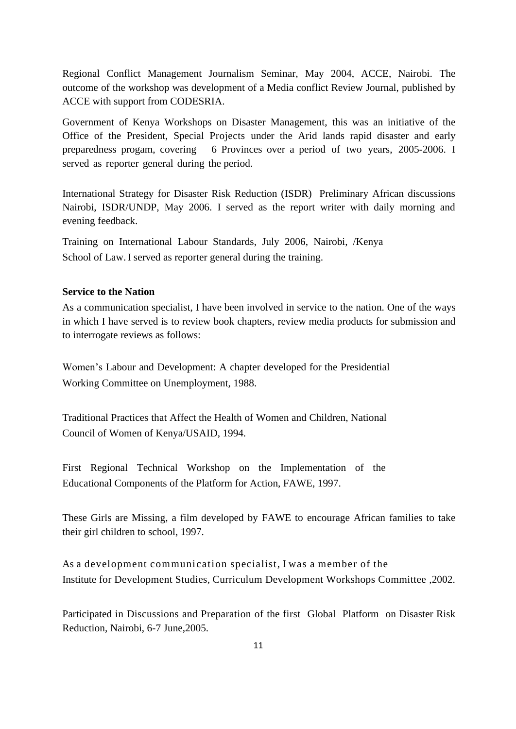Regional Conflict Management Journalism Seminar, May 2004, ACCE, Nairobi. The outcome of the workshop was development of a Media conflict Review Journal, published by ACCE with support from CODESRIA.

Government of Kenya Workshops on Disaster Management, this was an initiative of the Office of the President, Special Projects under the Arid lands rapid disaster and early preparedness progam, covering 6 Provinces over a period of two years, 2005-2006. I served as reporter general during the period.

International Strategy for Disaster Risk Reduction (ISDR) Preliminary African discussions Nairobi, ISDR/UNDP, May 2006. I served as the report writer with daily morning and evening feedback.

Training on International Labour Standards, July 2006, Nairobi, /Kenya School of Law. I served as reporter general during the training.

#### **Service to the Nation**

As a communication specialist, I have been involved in service to the nation. One of the ways in which I have served is to review book chapters, review media products for submission and to interrogate reviews as follows:

Women's Labour and Development: A chapter developed for the Presidential Working Committee on Unemployment, 1988.

Traditional Practices that Affect the Health of Women and Children, National Council of Women of Kenya/USAID, 1994.

First Regional Technical Workshop on the Implementation of the Educational Components of the Platform for Action, FAWE, 1997.

These Girls are Missing, a film developed by FAWE to encourage African families to take their girl children to school, 1997.

As a development communication specialist, I was a member of the Institute for Development Studies, Curriculum Development Workshops Committee ,2002.

Participated in Discussions and Preparation of the first Global Platform on Disaster Risk Reduction, Nairobi, 6-7 June,2005.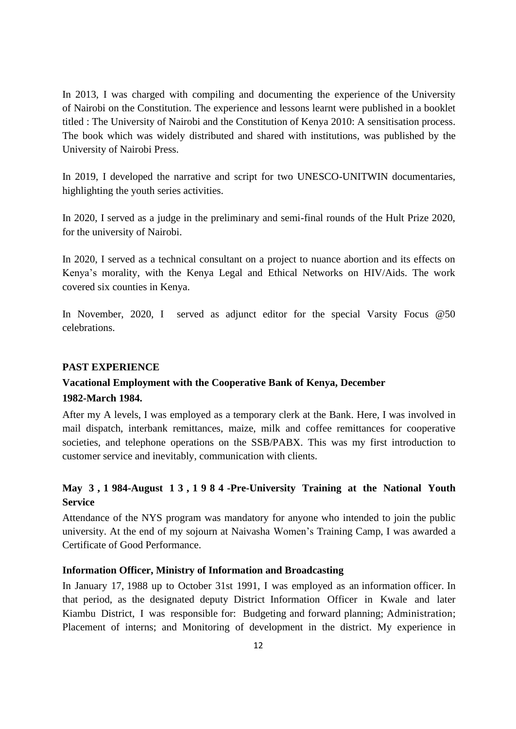In 2013, I was charged with compiling and documenting the experience of the University of Nairobi on the Constitution. The experience and lessons learnt were published in a booklet titled : The University of Nairobi and the Constitution of Kenya 2010: A sensitisation process. The book which was widely distributed and shared with institutions, was published by the University of Nairobi Press.

In 2019, I developed the narrative and script for two UNESCO-UNITWIN documentaries, highlighting the youth series activities.

In 2020, I served as a judge in the preliminary and semi-final rounds of the Hult Prize 2020, for the university of Nairobi.

In 2020, I served as a technical consultant on a project to nuance abortion and its effects on Kenya's morality, with the Kenya Legal and Ethical Networks on HIV/Aids. The work covered six counties in Kenya.

In November, 2020, I served as adjunct editor for the special Varsity Focus @50 celebrations.

## **PAST EXPERIENCE**

# **Vacational Employment with the Cooperative Bank of Kenya, December 1982-March 1984.**

After my A levels, I was employed as a temporary clerk at the Bank. Here, I was involved in mail dispatch, interbank remittances, maize, milk and coffee remittances for cooperative societies, and telephone operations on the SSB/PABX. This was my first introduction to customer service and inevitably, communication with clients.

# **May 3 , 1 984-August 1 3 , 1984 -Pre-University Training at the National Youth Service**

Attendance of the NYS program was mandatory for anyone who intended to join the public university. At the end of my sojourn at Naivasha Women's Training Camp, I was awarded a Certificate of Good Performance.

# **Information Officer, Ministry of Information and Broadcasting**

In January 17, 1988 up to October 31st 1991, I was employed as an information officer. In that period, as the designated deputy District Information Officer in Kwale and later Kiambu District, I was responsible for: Budgeting and forward planning; Administration; Placement of interns; and Monitoring of development in the district. My experience in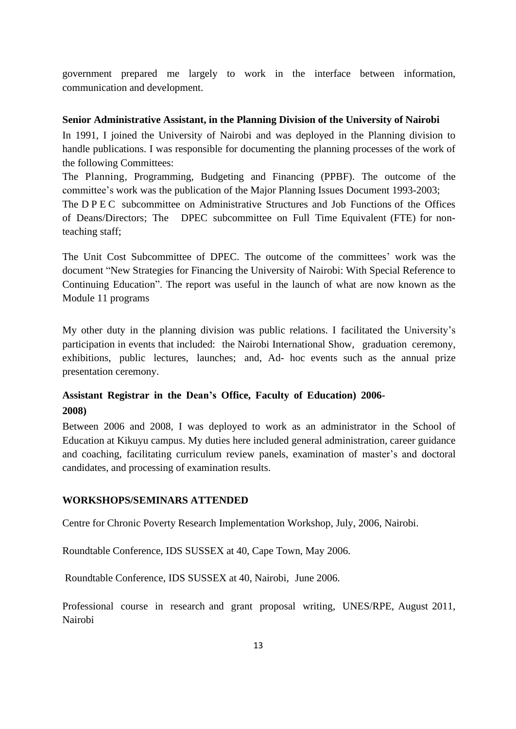government prepared me largely to work in the interface between information, communication and development.

#### **Senior Administrative Assistant, in the Planning Division of the University of Nairobi**

In 1991, I joined the University of Nairobi and was deployed in the Planning division to handle publications. I was responsible for documenting the planning processes of the work of the following Committees:

The Planning, Programming, Budgeting and Financing (PPBF). The outcome of the committee's work was the publication of the Major Planning Issues Document 1993-2003;

The D P E C subcommittee on Administrative Structures and Job Functions of the Offices of Deans/Directors; The DPEC subcommittee on Full Time Equivalent (FTE) for nonteaching staff;

The Unit Cost Subcommittee of DPEC. The outcome of the committees' work was the document "New Strategies for Financing the University of Nairobi: With Special Reference to Continuing Education". The report was useful in the launch of what are now known as the Module 11 programs

My other duty in the planning division was public relations. I facilitated the University's participation in events that included: the Nairobi International Show, graduation ceremony, exhibitions, public lectures, launches; and, Ad- hoc events such as the annual prize presentation ceremony.

# **Assistant Registrar in the Dean's Office, Faculty of Education) 2006- 2008)**

Between 2006 and 2008, I was deployed to work as an administrator in the School of Education at Kikuyu campus. My duties here included general administration, career guidance and coaching, facilitating curriculum review panels, examination of master's and doctoral candidates, and processing of examination results.

## **WORKSHOPS/SEMINARS ATTENDED**

Centre for Chronic Poverty Research Implementation Workshop, July, 2006, Nairobi.

Roundtable Conference, IDS SUSSEX at 40, Cape Town, May 2006.

Roundtable Conference, IDS SUSSEX at 40, Nairobi, June 2006.

Professional course in research and grant proposal writing, UNES/RPE, August 2011, Nairobi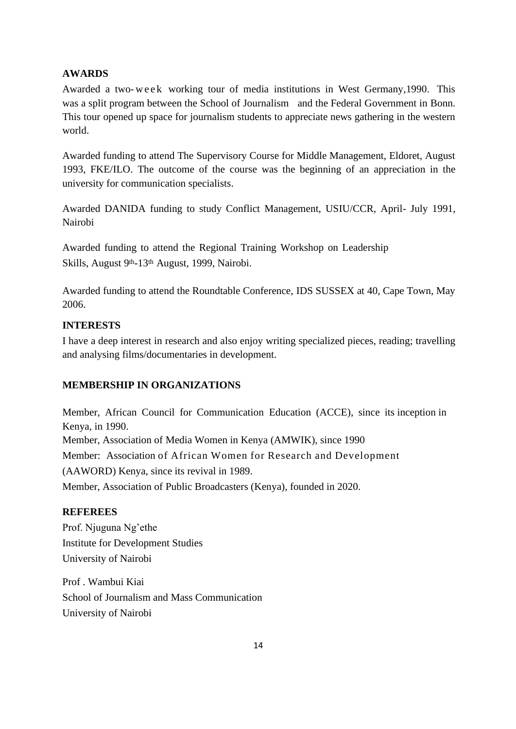# **AWARDS**

Awarded a two-week working tour of media institutions in West Germany, 1990. This was a split program between the School of Journalism and the Federal Government in Bonn. This tour opened up space for journalism students to appreciate news gathering in the western world.

Awarded funding to attend The Supervisory Course for Middle Management, Eldoret, August 1993, FKE/ILO. The outcome of the course was the beginning of an appreciation in the university for communication specialists.

Awarded DANIDA funding to study Conflict Management, USIU/CCR, April- July 1991, Nairobi

Awarded funding to attend the Regional Training Workshop on Leadership Skills, August 9<sup>th</sup>-13<sup>th</sup> August, 1999, Nairobi.

Awarded funding to attend the Roundtable Conference, IDS SUSSEX at 40, Cape Town, May 2006.

# **INTERESTS**

I have a deep interest in research and also enjoy writing specialized pieces, reading; travelling and analysing films/documentaries in development.

# **MEMBERSHIP IN ORGANIZATIONS**

Member, African Council for Communication Education (ACCE), since its inception in Kenya, in 1990. Member, Association of Media Women in Kenya (AMWIK), since 1990 Member: Association of African Women for Research and Development (AAWORD) Kenya, since its revival in 1989. Member, Association of Public Broadcasters (Kenya), founded in 2020.

# **REFEREES**

Prof. Njuguna Ng'ethe Institute for Development Studies University of Nairobi

Prof . Wambui Kiai School of Journalism and Mass Communication University of Nairobi